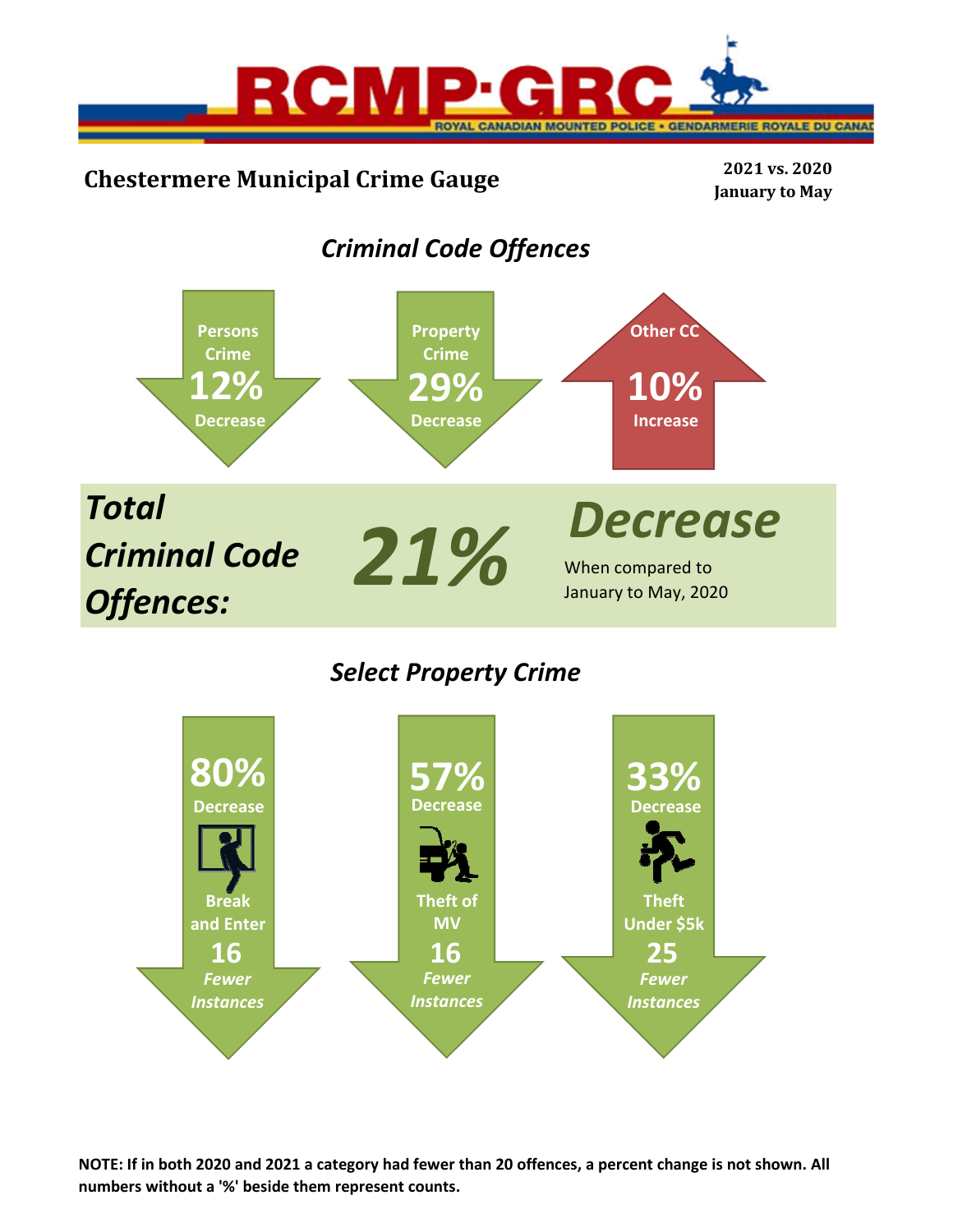

# **Chestermere Municipal Crime Gauge <sup>2021</sup> vs. <sup>2020</sup>**

**January to May**

# *Criminal Code Offences*



## *Select Property Crime*



**NOTE: If in both 2020 and 2021 a category had fewer than 20 offences, a percent change is not shown. All numbers without a '%' beside them represent counts.**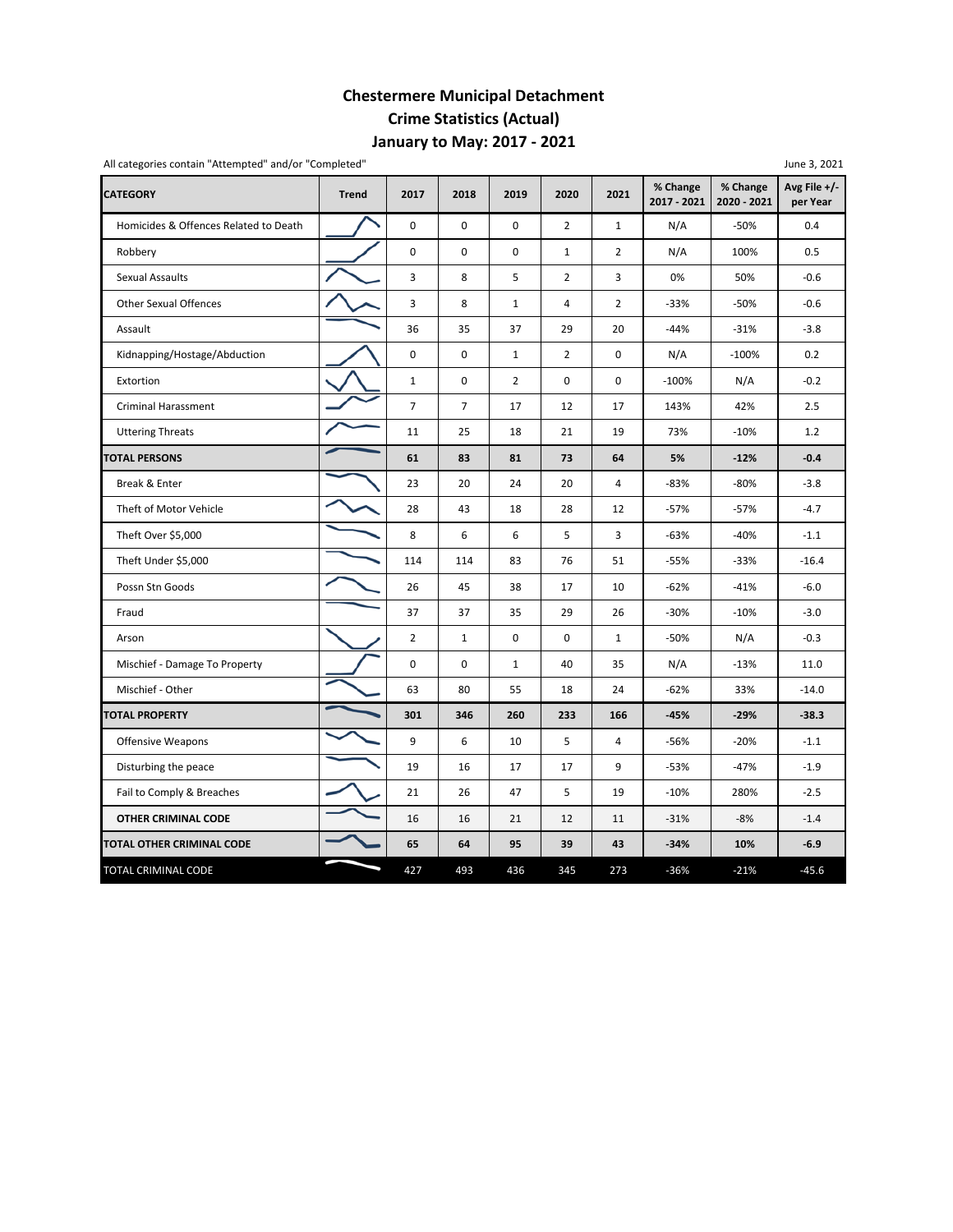## **Chestermere Municipal Detachment Crime Statistics (Actual) January to May: 2017 ‐ 2021**

| All categories contain "Attempted" and/or "Completed" |              |                |                |                |                |                |                         |                         | June 3, 2021             |        |
|-------------------------------------------------------|--------------|----------------|----------------|----------------|----------------|----------------|-------------------------|-------------------------|--------------------------|--------|
| <b>CATEGORY</b>                                       | <b>Trend</b> | 2017           | 2018           | 2019           | 2020           | 2021           | % Change<br>2017 - 2021 | % Change<br>2020 - 2021 | Avg File +/-<br>per Year |        |
| Homicides & Offences Related to Death                 |              | $\mathbf 0$    | $\pmb{0}$      | $\pmb{0}$      | $\overline{2}$ | $\mathbf{1}$   | N/A                     | $-50%$                  | 0.4                      |        |
| Robbery                                               |              | 0              | 0              | 0              | $\mathbf{1}$   | $\overline{2}$ | N/A                     | 100%                    | 0.5                      |        |
| <b>Sexual Assaults</b>                                |              | 3              | 8              | 5              | $\overline{2}$ | 3              | 0%                      | 50%                     | $-0.6$                   |        |
| <b>Other Sexual Offences</b>                          |              | 3              | 8              | $\mathbf 1$    | 4              | $\overline{2}$ | $-33%$                  | $-50%$                  | $-0.6$                   |        |
| Assault                                               |              | 36             | 35             | 37             | 29             | 20             | $-44%$                  | $-31%$                  | $-3.8$                   |        |
| Kidnapping/Hostage/Abduction                          |              | $\mathbf 0$    | $\mathbf 0$    | $\mathbf{1}$   | $\overline{2}$ | $\mathbf 0$    | N/A                     | $-100%$                 | 0.2                      |        |
| Extortion                                             |              | $\mathbf 1$    | 0              | $\overline{2}$ | 0              | 0              | $-100%$                 | N/A                     | $-0.2$                   |        |
| <b>Criminal Harassment</b>                            |              | $\overline{7}$ | $\overline{7}$ | 17             | 12             | 17             | 143%                    | 42%                     | 2.5                      |        |
| <b>Uttering Threats</b>                               |              | 11             | 25             | 18             | 21             | 19             | 73%                     | $-10%$                  | 1.2                      |        |
| <b>TOTAL PERSONS</b>                                  |              | 61             | 83             | 81             | 73             | 64             | 5%                      | $-12%$                  | $-0.4$                   |        |
| Break & Enter                                         |              | 23             | 20             | 24             | 20             | 4              | -83%                    | $-80%$                  | $-3.8$                   |        |
| Theft of Motor Vehicle                                |              | 28             | 43             | 18             | 28             | 12             | $-57%$                  | $-57%$                  | $-4.7$                   |        |
| Theft Over \$5,000                                    |              | 8              | 6              | 6              | 5              | 3              | $-63%$                  | $-40%$                  | $-1.1$                   |        |
| Theft Under \$5,000                                   |              | 114            | 114            | 83             | 76             | 51             | $-55%$                  | $-33%$                  | $-16.4$                  |        |
| Possn Stn Goods                                       |              |                | 26             | 45             | 38             | 17             | 10                      | $-62%$                  | $-41%$                   | $-6.0$ |
| Fraud                                                 |              | 37             | 37             | 35             | 29             | 26             | $-30%$                  | $-10%$                  | $-3.0$                   |        |
| Arson                                                 |              | $\overline{2}$ | $\mathbf{1}$   | $\mathbf 0$    | 0              | $\mathbf{1}$   | $-50%$                  | N/A                     | $-0.3$                   |        |
| Mischief - Damage To Property                         |              | $\pmb{0}$      | 0              | $\mathbf{1}$   | 40             | 35             | N/A                     | $-13%$                  | 11.0                     |        |
| Mischief - Other                                      |              | 63             | 80             | 55             | 18             | 24             | $-62%$                  | 33%                     | $-14.0$                  |        |
| <b>TOTAL PROPERTY</b>                                 |              | 301            | 346            | 260            | 233            | 166            | $-45%$                  | $-29%$                  | $-38.3$                  |        |
| <b>Offensive Weapons</b>                              |              | 9              | 6              | 10             | 5              | 4              | -56%                    | $-20%$                  | $-1.1$                   |        |
| Disturbing the peace                                  |              | 19             | 16             | 17             | 17             | 9              | $-53%$                  | $-47%$                  | $-1.9$                   |        |
| Fail to Comply & Breaches                             |              | 21             | 26             | 47             | 5              | 19             | $-10%$                  | 280%                    | $-2.5$                   |        |
| OTHER CRIMINAL CODE                                   |              | 16             | 16             | 21             | 12             | 11             | $-31%$                  | $-8%$                   | $-1.4$                   |        |
| TOTAL OTHER CRIMINAL CODE                             |              | 65             | 64             | 95             | 39             | 43             | $-34%$                  | 10%                     | $-6.9$                   |        |
| TOTAL CRIMINAL CODE                                   |              | 427            | 493            | 436            | 345            | 273            | $-36%$                  | $-21%$                  | $-45.6$                  |        |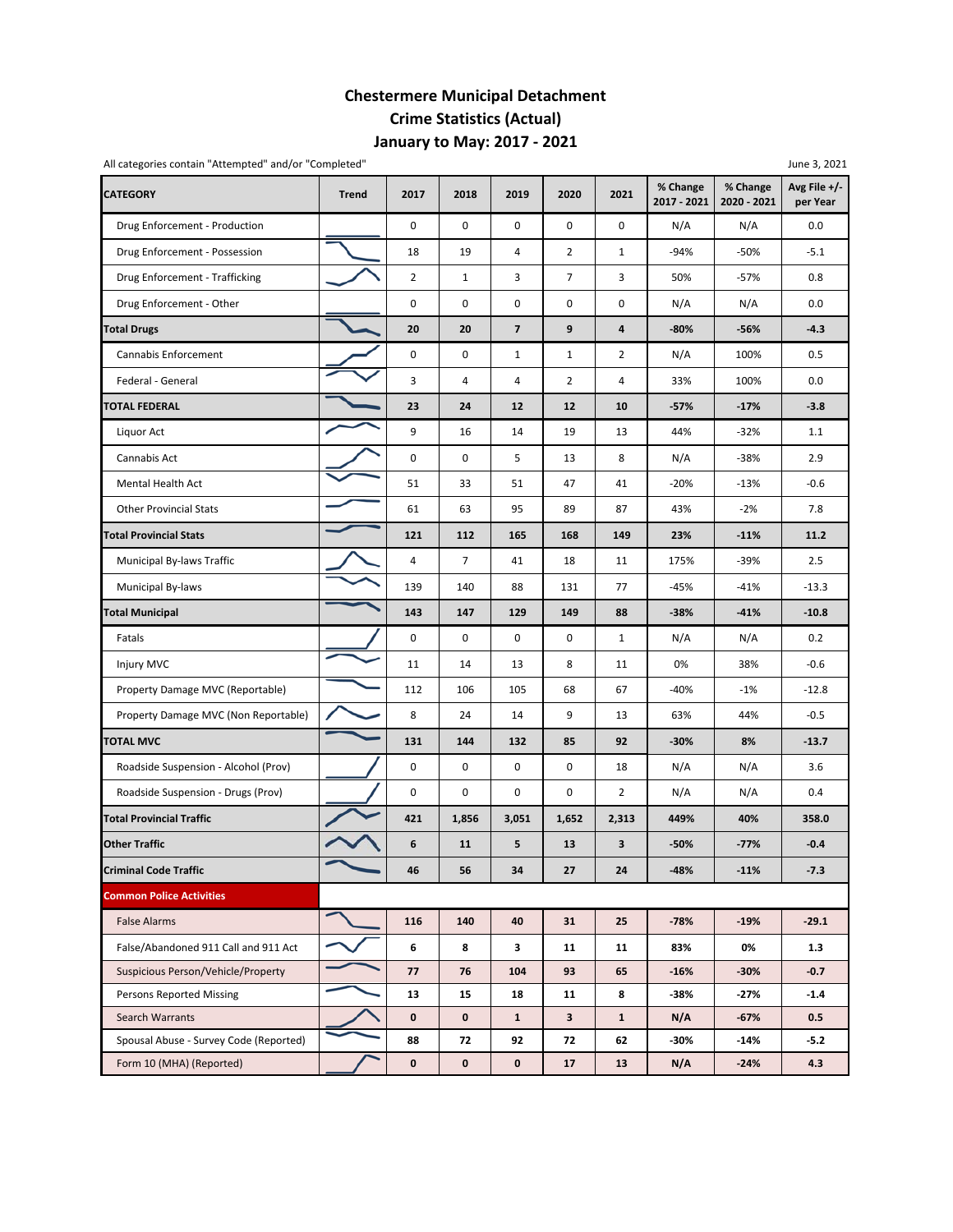## **Chestermere Municipal Detachment Crime Statistics (Actual) January to May: 2017 ‐ 2021**

| All categories contain "Attempted" and/or "Completed" |              |                     |                |                         |                |                |                         |                         | June 3, 2021               |
|-------------------------------------------------------|--------------|---------------------|----------------|-------------------------|----------------|----------------|-------------------------|-------------------------|----------------------------|
| <b>CATEGORY</b>                                       | <b>Trend</b> | 2017                | 2018           | 2019                    | 2020           | 2021           | % Change<br>2017 - 2021 | % Change<br>2020 - 2021 | Avg File $+/-$<br>per Year |
| Drug Enforcement - Production                         |              | 0                   | 0              | 0                       | 0              | 0              | N/A                     | N/A                     | 0.0                        |
| Drug Enforcement - Possession                         |              | 18                  | 19             | $\sqrt{4}$              | $\overline{2}$ | $\mathbf 1$    | $-94%$                  | $-50%$                  | $-5.1$                     |
| Drug Enforcement - Trafficking                        |              | $\overline{2}$      | $\mathbf 1$    | 3                       | $\overline{7}$ | 3              | 50%                     | $-57%$                  | 0.8                        |
| Drug Enforcement - Other                              |              | $\pmb{0}$           | 0              | 0                       | 0              | 0              | N/A                     | N/A                     | 0.0                        |
| <b>Total Drugs</b>                                    |              | 20                  | 20             | $\overline{\mathbf{z}}$ | 9              | 4              | $-80%$                  | -56%                    | $-4.3$                     |
| Cannabis Enforcement                                  |              | $\mathsf{O}\xspace$ | 0              | $\mathbf{1}$            | $\mathbf{1}$   | $\overline{2}$ | N/A                     | 100%                    | 0.5                        |
| Federal - General                                     |              | 3                   | 4              | $\sqrt{4}$              | $\overline{2}$ | 4              | 33%                     | 100%                    | 0.0                        |
| <b>TOTAL FEDERAL</b>                                  |              | 23                  | 24             | 12                      | 12             | 10             | $-57%$                  | $-17%$                  | $-3.8$                     |
| Liquor Act                                            |              | 9                   | 16             | 14                      | 19             | 13             | 44%                     | $-32%$                  | 1.1                        |
| Cannabis Act                                          |              | 0                   | 0              | 5                       | 13             | 8              | N/A                     | $-38%$                  | 2.9                        |
| Mental Health Act                                     |              | 51                  | 33             | 51                      | 47             | 41             | $-20%$                  | $-13%$                  | $-0.6$                     |
| <b>Other Provincial Stats</b>                         |              | 61                  | 63             | 95                      | 89             | 87             | 43%                     | $-2%$                   | 7.8                        |
| <b>Total Provincial Stats</b>                         |              | 121                 | 112            | 165                     | 168            | 149            | 23%                     | $-11%$                  | 11.2                       |
| Municipal By-laws Traffic                             |              | 4                   | $\overline{7}$ | 41                      | 18             | 11             | 175%                    | $-39%$                  | 2.5                        |
| Municipal By-laws                                     |              | 139                 | 140            | 88                      | 131            | 77             | $-45%$                  | $-41%$                  | $-13.3$                    |
| <b>Total Municipal</b>                                |              | 143                 | 147            | 129                     | 149            | 88             | $-38%$                  | $-41%$                  | $-10.8$                    |
| Fatals                                                |              | 0                   | 0              | 0                       | 0              | $\mathbf{1}$   | N/A                     | N/A                     | 0.2                        |
| Injury MVC                                            |              | 11                  | 14             | 13                      | 8              | 11             | 0%                      | 38%                     | $-0.6$                     |
| Property Damage MVC (Reportable)                      |              | 112                 | 106            | 105                     | 68             | 67             | $-40%$                  | $-1%$                   | $-12.8$                    |
| Property Damage MVC (Non Reportable)                  |              | 8                   | 24             | 14                      | 9              | 13             | 63%                     | 44%                     | $-0.5$                     |
| <b>TOTAL MVC</b>                                      |              | 131                 | 144            | 132                     | 85             | 92             | $-30%$                  | 8%                      | $-13.7$                    |
| Roadside Suspension - Alcohol (Prov)                  |              | 0                   | 0              | 0                       | 0              | 18             | N/A                     | N/A                     | 3.6                        |
| Roadside Suspension - Drugs (Prov)                    |              | 0                   | 0              | $\pmb{0}$               | 0              | $\overline{2}$ | N/A                     | N/A                     | 0.4                        |
| <b>Total Provincial Traffic</b>                       |              | 421                 | 1,856          | 3,051                   | 1,652          | 2,313          | 449%                    | 40%                     | 358.0                      |
| <b>Other Traffic</b>                                  |              | 6                   | 11             | 5                       | 13             | 3              | $-50%$                  | $-77%$                  | $-0.4$                     |
| <b>Criminal Code Traffic</b>                          |              | 46                  | 56             | 34                      | 27             | 24             | -48%                    | $-11%$                  | $-7.3$                     |
| <b>Common Police Activities</b>                       |              |                     |                |                         |                |                |                         |                         |                            |
| <b>False Alarms</b>                                   |              | 116                 | 140            | 40                      | 31             | 25             | $-78%$                  | $-19%$                  | $-29.1$                    |
| False/Abandoned 911 Call and 911 Act                  |              | 6                   | 8              | 3                       | 11             | 11             | 83%                     | 0%                      | 1.3                        |
| Suspicious Person/Vehicle/Property                    |              | 77                  | 76             | 104                     | 93             | 65             | $-16%$                  | $-30%$                  | $-0.7$                     |
| Persons Reported Missing                              |              | 13                  | 15             | 18                      | 11             | 8              | -38%                    | -27%                    | $-1.4$                     |
| Search Warrants                                       |              | $\mathbf 0$         | 0              | $\mathbf{1}$            | 3              | $\mathbf{1}$   | N/A                     | $-67%$                  | 0.5                        |
| Spousal Abuse - Survey Code (Reported)                |              | 88                  | 72             | 92                      | 72             | 62             | -30%                    | -14%                    | $-5.2$                     |
| Form 10 (MHA) (Reported)                              |              | $\mathbf 0$         | 0              | $\mathbf 0$             | 17             | 13             | N/A                     | $-24%$                  | 4.3                        |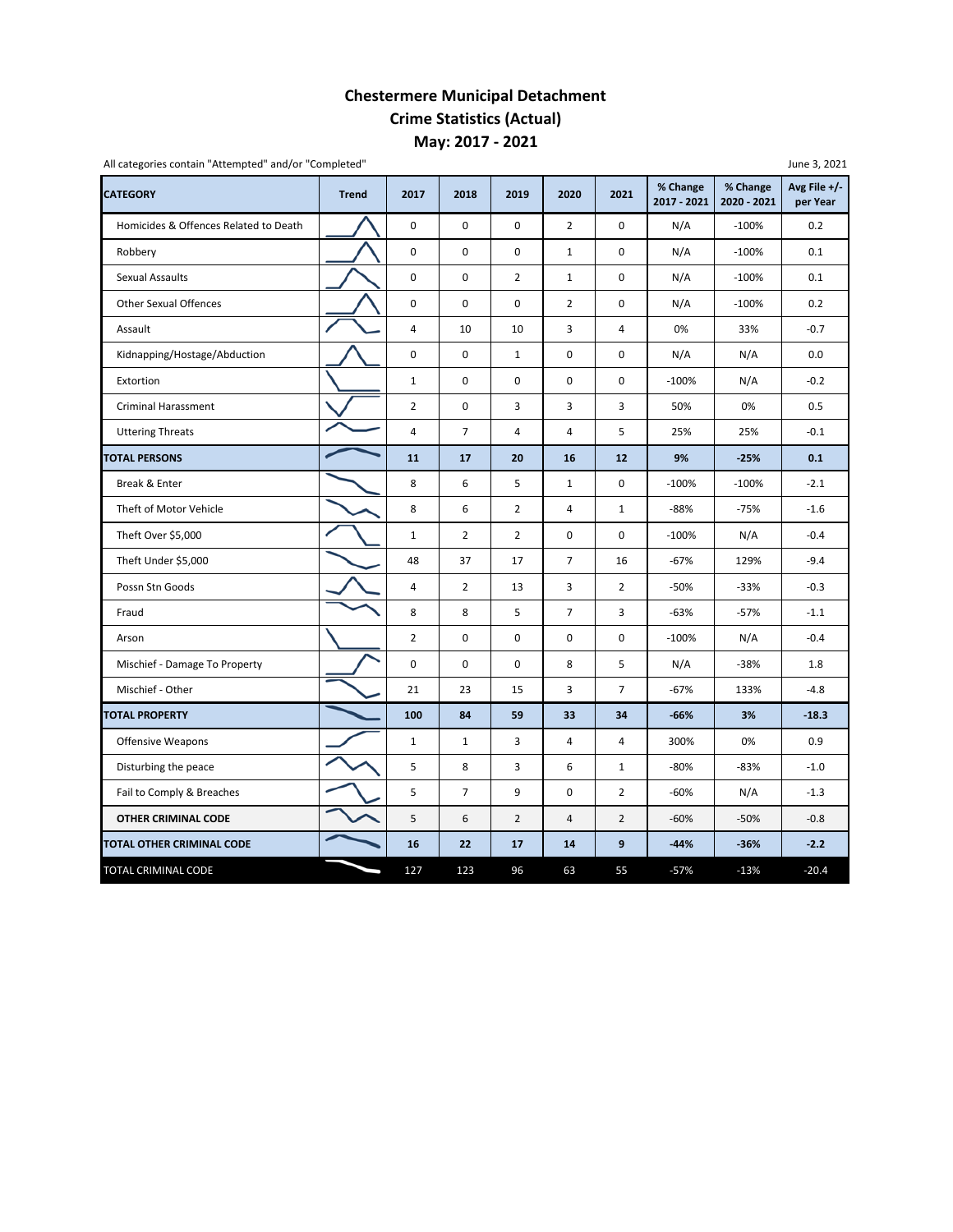## **Chestermere Municipal Detachment Crime Statistics (Actual) May: 2017 ‐ 2021**

| All categories contain "Attempted" and/or "Completed" |              |                         |                |                         |                |                |                         |                         | June 3, 2021               |
|-------------------------------------------------------|--------------|-------------------------|----------------|-------------------------|----------------|----------------|-------------------------|-------------------------|----------------------------|
| <b>CATEGORY</b>                                       | <b>Trend</b> | 2017                    | 2018           | 2019                    | 2020           | 2021           | % Change<br>2017 - 2021 | % Change<br>2020 - 2021 | Avg File $+/-$<br>per Year |
| Homicides & Offences Related to Death                 |              | 0                       | 0              | 0                       | $\overline{2}$ | 0              | N/A                     | $-100%$                 | 0.2                        |
| Robbery                                               |              | 0                       | 0              | 0                       | $\mathbf{1}$   | 0              | N/A                     | $-100%$                 | 0.1                        |
| <b>Sexual Assaults</b>                                |              | 0                       | 0              | $\overline{2}$          | $\mathbf{1}$   | 0              | N/A                     | $-100%$                 | 0.1                        |
| <b>Other Sexual Offences</b>                          |              | 0                       | 0              | 0                       | $\overline{2}$ | $\pmb{0}$      | N/A                     | $-100%$                 | 0.2                        |
| Assault                                               |              | 4                       | 10             | 10                      | 3              | $\overline{4}$ | 0%                      | 33%                     | $-0.7$                     |
| Kidnapping/Hostage/Abduction                          |              | 0                       | $\pmb{0}$      | $\mathbf{1}$            | $\mathbf 0$    | $\pmb{0}$      | N/A                     | N/A                     | 0.0                        |
| Extortion                                             |              | $1\,$                   | 0              | $\pmb{0}$               | $\pmb{0}$      | 0              | $-100%$                 | N/A                     | $-0.2$                     |
| <b>Criminal Harassment</b>                            |              | $\overline{2}$          | 0              | 3                       | 3              | 3              | 50%                     | 0%                      | 0.5                        |
| <b>Uttering Threats</b>                               |              | 4                       | $\overline{7}$ | $\overline{\mathbf{4}}$ | 4              | 5              | 25%                     | 25%                     | $-0.1$                     |
| <b>TOTAL PERSONS</b>                                  |              | 11                      | 17             | 20                      | 16             | 12             | 9%                      | $-25%$                  | 0.1                        |
| Break & Enter                                         |              | 8                       | 6              | 5                       | $\mathbf{1}$   | 0              | $-100%$                 | $-100%$                 | $-2.1$                     |
| Theft of Motor Vehicle                                |              | 8                       | 6              | $\overline{2}$          | $\overline{4}$ | $\mathbf{1}$   | $-88%$                  | $-75%$                  | $-1.6$                     |
| Theft Over \$5,000                                    |              | $\mathbf 1$             | $\overline{2}$ | $\overline{2}$          | $\mathbf 0$    | $\pmb{0}$      | $-100%$                 | N/A                     | $-0.4$                     |
| Theft Under \$5,000                                   |              | 48                      | 37             | 17                      | $\overline{7}$ | 16             | $-67%$                  | 129%                    | $-9.4$                     |
| Possn Stn Goods                                       |              | $\overline{\mathbf{4}}$ | $\overline{2}$ | 13                      | 3              | $\overline{2}$ | $-50%$                  | $-33%$                  | $-0.3$                     |
| Fraud                                                 |              | 8                       | 8              | 5                       | $\overline{7}$ | 3              | $-63%$                  | $-57%$                  | $-1.1$                     |
| Arson                                                 |              | $\overline{2}$          | 0              | $\mathbf 0$             | 0              | $\mathbf 0$    | $-100%$                 | N/A                     | $-0.4$                     |
| Mischief - Damage To Property                         |              | 0                       | 0              | 0                       | 8              | 5              | N/A                     | $-38%$                  | 1.8                        |
| Mischief - Other                                      |              | 21                      | 23             | 15                      | 3              | $\overline{7}$ | $-67%$                  | 133%                    | $-4.8$                     |
| <b>TOTAL PROPERTY</b>                                 |              | 100                     | 84             | 59                      | 33             | 34             | $-66%$                  | 3%                      | $-18.3$                    |
| Offensive Weapons                                     |              | $\mathbf{1}$            | $\mathbf{1}$   | 3                       | $\overline{4}$ | $\overline{4}$ | 300%                    | 0%                      | 0.9                        |
| Disturbing the peace                                  |              | 5                       | 8              | 3                       | 6              | $\mathbf{1}$   | $-80%$                  | $-83%$                  | $-1.0$                     |
| Fail to Comply & Breaches                             |              | 5                       | $\overline{7}$ | 9                       | 0              | $\overline{2}$ | $-60%$                  | N/A                     | $-1.3$                     |
| <b>OTHER CRIMINAL CODE</b>                            |              | 5                       | 6              | $\overline{2}$          | $\overline{4}$ | $\overline{2}$ | $-60%$                  | $-50%$                  | $-0.8$                     |
| TOTAL OTHER CRIMINAL CODE                             |              | 16                      | 22             | 17                      | 14             | 9              | $-44%$                  | $-36%$                  | $-2.2$                     |
| TOTAL CRIMINAL CODE                                   |              | 127                     | 123            | 96                      | 63             | 55             | $-57%$                  | $-13%$                  | $-20.4$                    |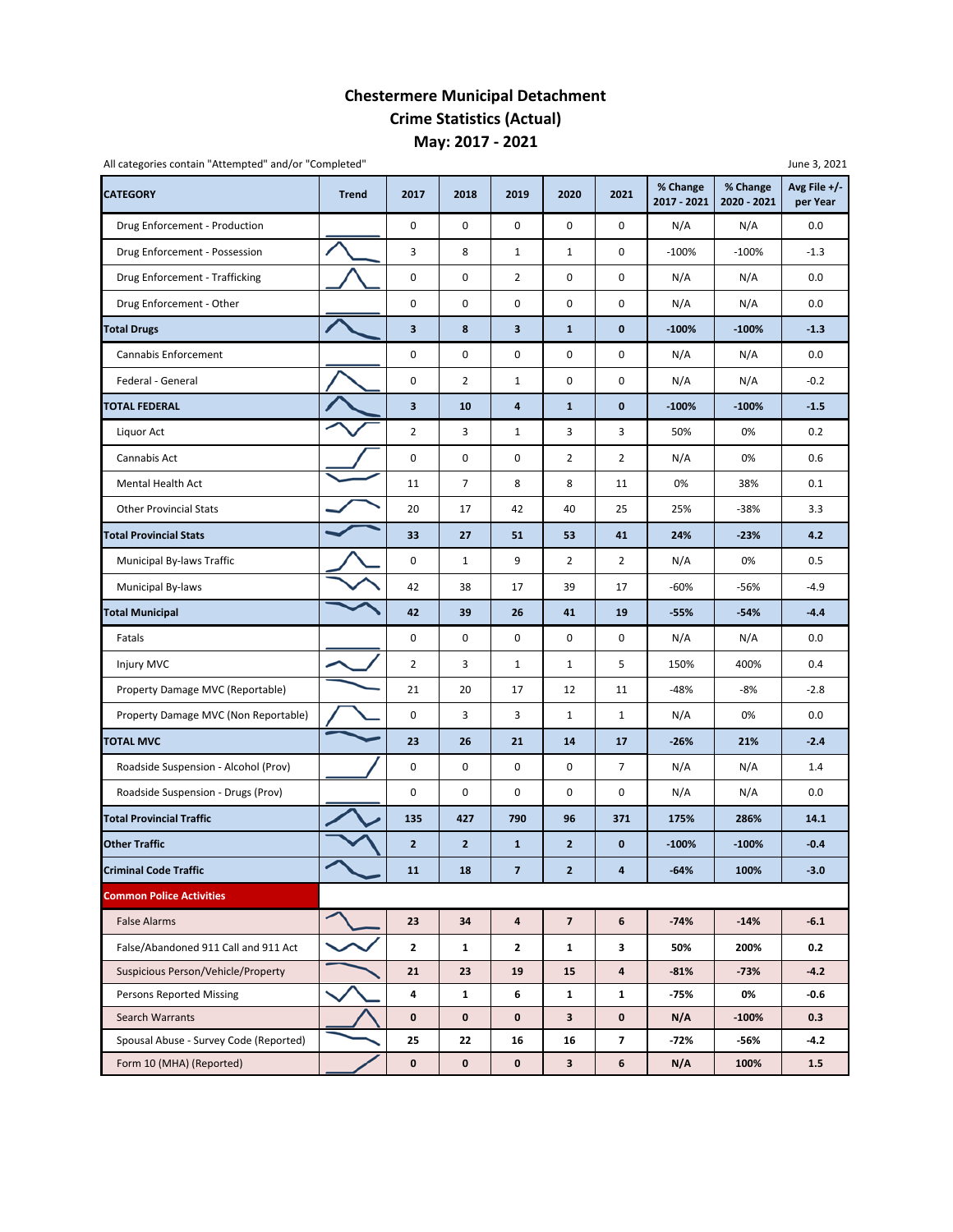### **Chestermere Municipal Detachment Crime Statistics (Actual) May: 2017 ‐ 2021**

| All categories contain "Attempted" and/or "Completed" |              |                         |                |                         |                |                | % Change    | % Change    | June 3, 2021<br>Avg File +/- |  |
|-------------------------------------------------------|--------------|-------------------------|----------------|-------------------------|----------------|----------------|-------------|-------------|------------------------------|--|
| <b>CATEGORY</b>                                       | <b>Trend</b> | 2017                    | 2018           | 2019                    | 2020           | 2021           | 2017 - 2021 | 2020 - 2021 | per Year                     |  |
| Drug Enforcement - Production                         |              | 0                       | 0              | 0                       | 0              | 0              | N/A         | N/A         | 0.0                          |  |
| Drug Enforcement - Possession                         |              | 3                       | 8              | $\mathbf{1}$            | $\mathbf{1}$   | 0              | $-100%$     | $-100%$     | $-1.3$                       |  |
| Drug Enforcement - Trafficking                        |              | $\pmb{0}$               | 0              | $\overline{2}$          | 0              | 0              | N/A         | N/A         | 0.0                          |  |
| Drug Enforcement - Other                              |              | 0                       | 0              | 0                       | $\pmb{0}$      | 0              | N/A         | N/A         | 0.0                          |  |
| <b>Total Drugs</b>                                    |              | $\overline{\mathbf{3}}$ | 8              | 3                       | $\mathbf{1}$   | $\mathbf 0$    | $-100%$     | $-100%$     | $-1.3$                       |  |
| Cannabis Enforcement                                  |              | 0                       | 0              | 0                       | 0              | 0              | N/A         | N/A         | 0.0                          |  |
| Federal - General                                     |              | 0                       | $\overline{2}$ | $\mathbf{1}$            | 0              | 0              | N/A         | N/A         | $-0.2$                       |  |
| <b>TOTAL FEDERAL</b>                                  |              | 3                       | 10             | 4                       | $\mathbf{1}$   | $\pmb{0}$      | $-100%$     | $-100%$     | $-1.5$                       |  |
| Liquor Act                                            |              | $\overline{2}$          | 3              | $1\,$                   | 3              | 3              | 50%         | 0%          | 0.2                          |  |
| Cannabis Act                                          |              | 0                       | 0              | 0                       | $\overline{2}$ | $\overline{2}$ | N/A         | 0%          | 0.6                          |  |
| <b>Mental Health Act</b>                              |              | 11                      | $\overline{7}$ | 8                       | 8              | 11             | 0%          | 38%         | 0.1                          |  |
| <b>Other Provincial Stats</b>                         |              | 20                      | 17             | 42                      | 40             | 25             | 25%         | $-38%$      | 3.3                          |  |
| <b>Total Provincial Stats</b>                         |              | 33                      | 27             | 51                      | 53             | 41             | 24%         | $-23%$      | 4.2                          |  |
| Municipal By-laws Traffic                             |              | 0                       | $\mathbf{1}$   | 9                       | $\overline{2}$ | $\overline{2}$ | N/A         | 0%          | 0.5                          |  |
| Municipal By-laws                                     |              | 42                      | 38             | 17                      | 39             | 17             | $-60%$      | -56%        | $-4.9$                       |  |
| <b>Total Municipal</b>                                |              | 42                      | 39             | 26                      | 41             | 19             | $-55%$      | $-54%$      | $-4.4$                       |  |
| Fatals                                                |              | 0                       | 0              | 0                       | 0              | 0              | N/A         | N/A         | 0.0                          |  |
| Injury MVC                                            |              | $\overline{2}$          | 3              | $\mathbf{1}$            | $\mathbf{1}$   | 5              | 150%        | 400%        | 0.4                          |  |
| Property Damage MVC (Reportable)                      |              | 21                      | 20             | 17                      | 12             | 11             | -48%        | -8%         | $-2.8$                       |  |
| Property Damage MVC (Non Reportable)                  |              | 0                       | 3              | 3                       | $\mathbf{1}$   | $\mathbf 1$    | N/A         | 0%          | 0.0                          |  |
| <b>TOTAL MVC</b>                                      |              | 23                      | 26             | 21                      | 14             | 17             | $-26%$      | 21%         | $-2.4$                       |  |
| Roadside Suspension - Alcohol (Prov)                  |              | 0                       | 0              | 0                       | 0              | 7              | N/A         | N/A         | 1.4                          |  |
| Roadside Suspension - Drugs (Prov)                    |              | 0                       | 0              | 0                       | $\pmb{0}$      | 0              | N/A         | N/A         | 0.0                          |  |
| <b>Total Provincial Traffic</b>                       |              | 135                     | 427            | 790                     | 96             | 371            | 175%        | 286%        | 14.1                         |  |
| <b>Other Traffic</b>                                  |              | $\overline{2}$          | $\overline{2}$ | $\mathbf{1}$            | $\overline{2}$ | 0              | $-100%$     | $-100%$     | $-0.4$                       |  |
| <b>Criminal Code Traffic</b>                          |              | 11                      | 18             | $\overline{\mathbf{z}}$ | $\overline{2}$ | 4              | $-64%$      | 100%        | $-3.0$                       |  |
| <b>Common Police Activities</b>                       |              |                         |                |                         |                |                |             |             |                              |  |
| <b>False Alarms</b>                                   |              | 23                      | 34             | 4                       | $\overline{7}$ | 6              | $-74%$      | $-14%$      | $-6.1$                       |  |
| False/Abandoned 911 Call and 911 Act                  |              | $\mathbf{2}$            | 1              | 2                       | $\mathbf{1}$   | 3              | 50%         | 200%        | 0.2                          |  |
| Suspicious Person/Vehicle/Property                    |              | 21                      | 23             | 19                      | 15             | 4              | $-81%$      | $-73%$      | $-4.2$                       |  |
| Persons Reported Missing                              |              | 4                       | $\mathbf{1}$   | 6                       | $\mathbf{1}$   | 1              | -75%        | 0%          | $-0.6$                       |  |
| Search Warrants                                       |              | $\mathbf 0$             | 0              | 0                       | $\mathbf{3}$   | 0              | N/A         | $-100%$     | 0.3                          |  |
| Spousal Abuse - Survey Code (Reported)                |              | 25                      | 22             | 16                      | 16             | 7              | -72%        | -56%        | $-4.2$                       |  |
| Form 10 (MHA) (Reported)                              |              | $\mathbf 0$             | $\mathbf 0$    | 0                       | $\mathbf{3}$   | 6              | N/A         | 100%        | 1.5                          |  |